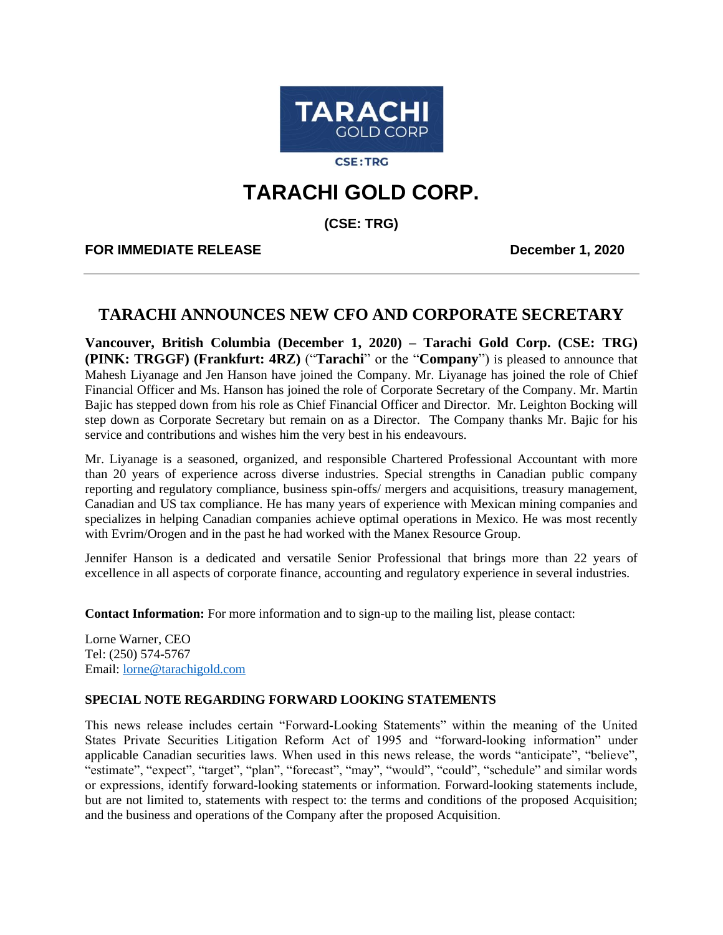

**CSE:TRG** 

## **TARACHI GOLD CORP.**

**(CSE: TRG)**

**FOR IMMEDIATE RELEASE December 1, 2020**

## **TARACHI ANNOUNCES NEW CFO AND CORPORATE SECRETARY**

**Vancouver, British Columbia (December 1, 2020) – Tarachi Gold Corp. (CSE: TRG) (PINK: TRGGF) (Frankfurt: 4RZ)** ("**Tarachi**" or the "**Company**") is pleased to announce that Mahesh Liyanage and Jen Hanson have joined the Company. Mr. Liyanage has joined the role of Chief Financial Officer and Ms. Hanson has joined the role of Corporate Secretary of the Company. Mr. Martin Bajic has stepped down from his role as Chief Financial Officer and Director. Mr. Leighton Bocking will step down as Corporate Secretary but remain on as a Director. The Company thanks Mr. Bajic for his service and contributions and wishes him the very best in his endeavours.

Mr. Liyanage is a seasoned, organized, and responsible Chartered Professional Accountant with more than 20 years of experience across diverse industries. Special strengths in Canadian public company reporting and regulatory compliance, business spin-offs/ mergers and acquisitions, treasury management, Canadian and US tax compliance. He has many years of experience with Mexican mining companies and specializes in helping Canadian companies achieve optimal operations in Mexico. He was most recently with Evrim/Orogen and in the past he had worked with the Manex Resource Group.

Jennifer Hanson is a dedicated and versatile Senior Professional that brings more than 22 years of excellence in all aspects of corporate finance, accounting and regulatory experience in several industries.

**Contact Information:** For more information and to sign-up to the mailing list, please contact:

Lorne Warner, CEO Tel: (250) 574-5767 Email: [lorne@tarachigold.com](mailto:lorne@tarachigold.com)

## **SPECIAL NOTE REGARDING FORWARD LOOKING STATEMENTS**

This news release includes certain "Forward‐Looking Statements" within the meaning of the United States Private Securities Litigation Reform Act of 1995 and "forward‐looking information" under applicable Canadian securities laws. When used in this news release, the words "anticipate", "believe", "estimate", "expect", "target", "plan", "forecast", "may", "would", "could", "schedule" and similar words or expressions, identify forward‐looking statements or information. Forward-looking statements include, but are not limited to, statements with respect to: the terms and conditions of the proposed Acquisition; and the business and operations of the Company after the proposed Acquisition.